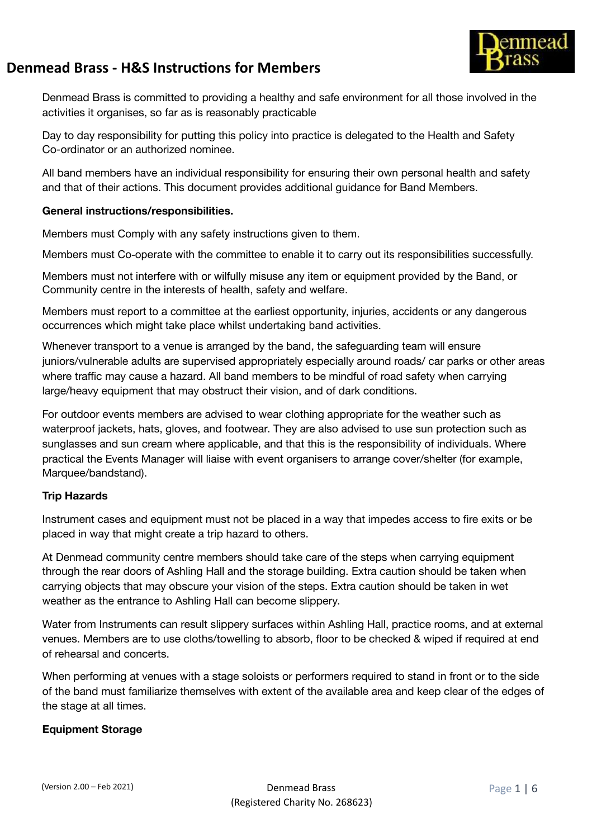

Denmead Brass is committed to providing a healthy and safe environment for all those involved in the activities it organises, so far as is reasonably practicable

Day to day responsibility for putting this policy into practice is delegated to the Health and Safety Co-ordinator or an authorized nominee.

All band members have an individual responsibility for ensuring their own personal health and safety and that of their actions. This document provides additional guidance for Band Members.

#### **General instructions/responsibilities.**

Members must Comply with any safety instructions given to them.

Members must Co-operate with the committee to enable it to carry out its responsibilities successfully.

Members must not interfere with or wilfully misuse any item or equipment provided by the Band, or Community centre in the interests of health, safety and welfare.

Members must report to a committee at the earliest opportunity, injuries, accidents or any dangerous occurrences which might take place whilst undertaking band activities.

Whenever transport to a venue is arranged by the band, the safeguarding team will ensure juniors/vulnerable adults are supervised appropriately especially around roads/ car parks or other areas where traffic may cause a hazard. All band members to be mindful of road safety when carrying large/heavy equipment that may obstruct their vision, and of dark conditions.

For outdoor events members are advised to wear clothing appropriate for the weather such as waterproof jackets, hats, gloves, and footwear. They are also advised to use sun protection such as sunglasses and sun cream where applicable, and that this is the responsibility of individuals. Where practical the Events Manager will liaise with event organisers to arrange cover/shelter (for example, Marquee/bandstand).

### **Trip Hazards**

Instrument cases and equipment must not be placed in a way that impedes access to fire exits or be placed in way that might create a trip hazard to others.

At Denmead community centre members should take care of the steps when carrying equipment through the rear doors of Ashling Hall and the storage building. Extra caution should be taken when carrying objects that may obscure your vision of the steps. Extra caution should be taken in wet weather as the entrance to Ashling Hall can become slippery.

Water from Instruments can result slippery surfaces within Ashling Hall, practice rooms, and at external venues. Members are to use cloths/towelling to absorb, floor to be checked & wiped if required at end of rehearsal and concerts.

When performing at venues with a stage soloists or performers required to stand in front or to the side of the band must familiarize themselves with extent of the available area and keep clear of the edges of the stage at all times.

### **Equipment Storage**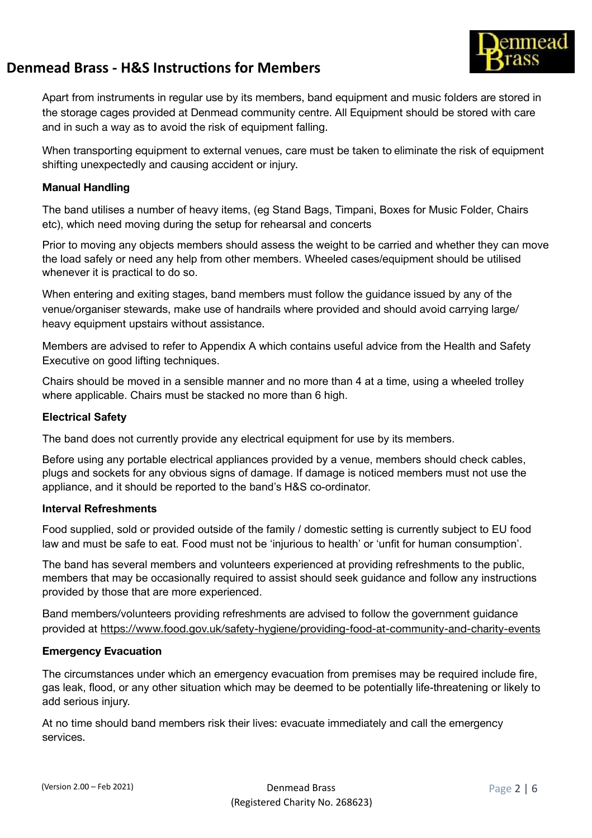

Apart from instruments in regular use by its members, band equipment and music folders are stored in the storage cages provided at Denmead community centre. All Equipment should be stored with care and in such a way as to avoid the risk of equipment falling.

When transporting equipment to external venues, care must be taken to eliminate the risk of equipment shifting unexpectedly and causing accident or injury.

#### **Manual Handling**

The band utilises a number of heavy items, (eg Stand Bags, Timpani, Boxes for Music Folder, Chairs etc), which need moving during the setup for rehearsal and concerts

Prior to moving any objects members should assess the weight to be carried and whether they can move the load safely or need any help from other members. Wheeled cases/equipment should be utilised whenever it is practical to do so.

When entering and exiting stages, band members must follow the guidance issued by any of the venue/organiser stewards, make use of handrails where provided and should avoid carrying large/ heavy equipment upstairs without assistance.

Members are advised to refer to Appendix A which contains useful advice from the Health and Safety Executive on good lifting techniques.

Chairs should be moved in a sensible manner and no more than 4 at a time, using a wheeled trolley where applicable. Chairs must be stacked no more than 6 high.

#### **Electrical Safety**

The band does not currently provide any electrical equipment for use by its members.

Before using any portable electrical appliances provided by a venue, members should check cables, plugs and sockets for any obvious signs of damage. If damage is noticed members must not use the appliance, and it should be reported to the band's H&S co-ordinator.

#### **Interval Refreshments**

Food supplied, sold or provided outside of the family / domestic setting is currently subject to EU food law and must be safe to eat. Food must not be 'injurious to health' or 'unfit for human consumption'.

The band has several members and volunteers experienced at providing refreshments to the public, members that may be occasionally required to assist should seek guidance and follow any instructions provided by those that are more experienced.

Band members/volunteers providing refreshments are advised to follow the government guidance provided at <https://www.food.gov.uk/safety-hygiene/providing-food-at-community-and-charity-events>

#### **Emergency Evacuation**

The circumstances under which an emergency evacuation from premises may be required include fire, gas leak, flood, or any other situation which may be deemed to be potentially life-threatening or likely to add serious injury.

At no time should band members risk their lives: evacuate immediately and call the emergency services.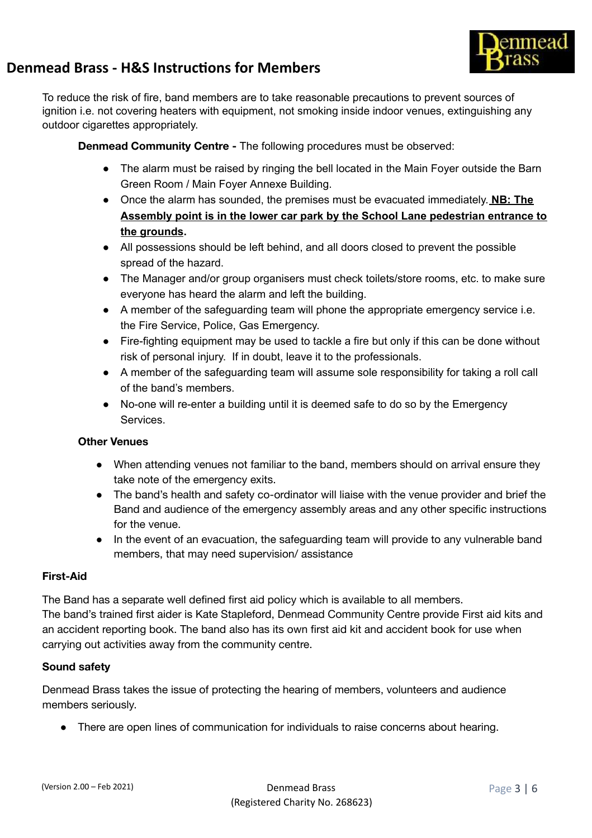

To reduce the risk of fire, band members are to take reasonable precautions to prevent sources of ignition i.e. not covering heaters with equipment, not smoking inside indoor venues, extinguishing any outdoor cigarettes appropriately.

**Denmead Community Centre -** The following procedures must be observed:

- The alarm must be raised by ringing the bell located in the Main Foyer outside the Barn Green Room / Main Foyer Annexe Building.
- **●** Once the alarm has sounded, the premises must be evacuated immediately. **NB: The Assembly point is in the lower car park by the School Lane pedestrian entrance to the grounds.**
- **●** All possessions should be left behind, and all doors closed to prevent the possible spread of the hazard.
- **●** The Manager and/or group organisers must check toilets/store rooms, etc. to make sure everyone has heard the alarm and left the building.
- A member of the safeguarding team will phone the appropriate emergency service i.e. the Fire Service, Police, Gas Emergency.
- Fire-fighting equipment may be used to tackle a fire but only if this can be done without risk of personal injury. If in doubt, leave it to the professionals.
- A member of the safeguarding team will assume sole responsibility for taking a roll call of the band's members.
- No-one will re-enter a building until it is deemed safe to do so by the Emergency Services.

### **Other Venues**

- When attending venues not familiar to the band, members should on arrival ensure they take note of the emergency exits.
- The band's health and safety co-ordinator will liaise with the venue provider and brief the Band and audience of the emergency assembly areas and any other specific instructions for the venue.
- In the event of an evacuation, the safeguarding team will provide to any vulnerable band members, that may need supervision/ assistance

#### **First-Aid**

The Band has a separate well defined first aid policy which is available to all members. The band's trained first aider is Kate Stapleford, Denmead Community Centre provide First aid kits and an accident reporting book. The band also has its own first aid kit and accident book for use when carrying out activities away from the community centre.

### **Sound safety**

Denmead Brass takes the issue of protecting the hearing of members, volunteers and audience members seriously.

● There are open lines of communication for individuals to raise concerns about hearing.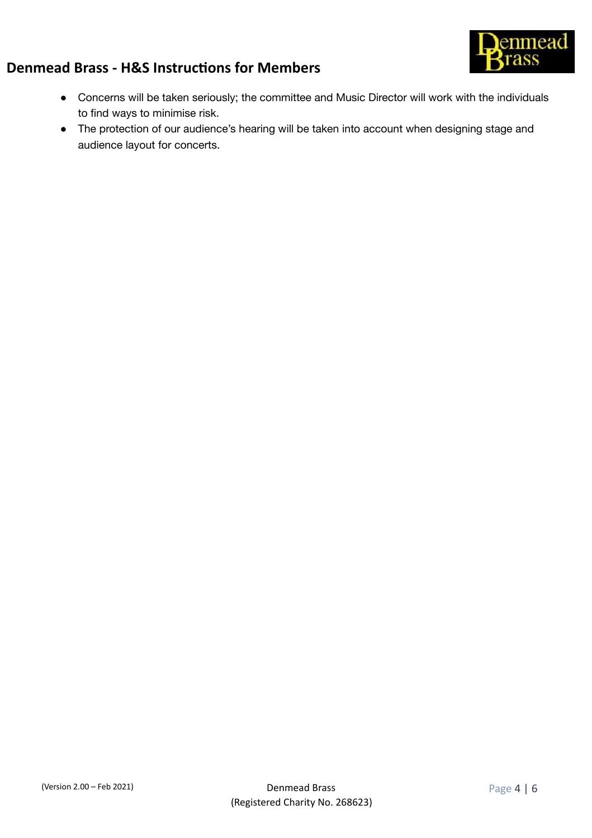

- Concerns will be taken seriously; the committee and Music Director will work with the individuals to find ways to minimise risk.
- The protection of our audience's hearing will be taken into account when designing stage and audience layout for concerts.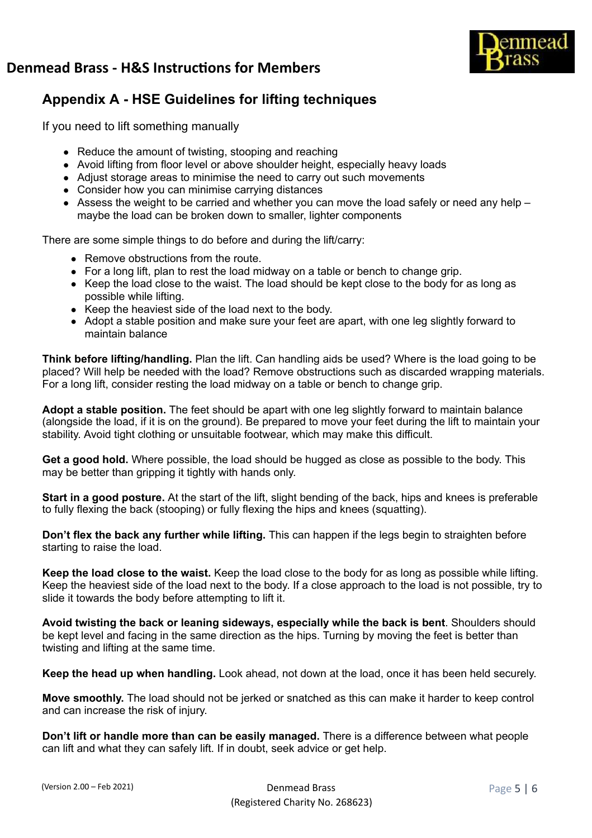

## **Appendix A - HSE Guidelines for lifting techniques**

If you need to lift something manually

- Reduce the amount of twisting, stooping and reaching
- Avoid lifting from floor level or above shoulder height, especially heavy loads
- Adjust storage areas to minimise the need to carry out such movements
- Consider how you can minimise carrying distances
- $\bullet$  Assess the weight to be carried and whether you can move the load safely or need any help maybe the load can be broken down to smaller, lighter components

There are some simple things to do before and during the lift/carry:

- Remove obstructions from the route.
- For a long lift, plan to rest the load midway on a table or bench to change grip.
- Keep the load close to the waist. The load should be kept close to the body for as long as possible while lifting.
- Keep the heaviest side of the load next to the body.
- Adopt a stable position and make sure your feet are apart, with one leg slightly forward to maintain balance

**Think before lifting/handling.** Plan the lift. Can handling aids be used? Where is the load going to be placed? Will help be needed with the load? Remove obstructions such as discarded wrapping materials. For a long lift, consider resting the load midway on a table or bench to change grip.

**Adopt a stable position.** The feet should be apart with one leg slightly forward to maintain balance (alongside the load, if it is on the ground). Be prepared to move your feet during the lift to maintain your stability. Avoid tight clothing or unsuitable footwear, which may make this difficult.

**Get a good hold.** Where possible, the load should be hugged as close as possible to the body. This may be better than gripping it tightly with hands only.

**Start in a good posture.** At the start of the lift, slight bending of the back, hips and knees is preferable to fully flexing the back (stooping) or fully flexing the hips and knees (squatting).

**Don't flex the back any further while lifting.** This can happen if the legs begin to straighten before starting to raise the load.

**Keep the load close to the waist.** Keep the load close to the body for as long as possible while lifting. Keep the heaviest side of the load next to the body. If a close approach to the load is not possible, try to slide it towards the body before attempting to lift it.

**Avoid twisting the back or leaning sideways, especially while the back is bent**. Shoulders should be kept level and facing in the same direction as the hips. Turning by moving the feet is better than twisting and lifting at the same time.

**Keep the head up when handling.** Look ahead, not down at the load, once it has been held securely.

**Move smoothly.** The load should not be jerked or snatched as this can make it harder to keep control and can increase the risk of injury.

**Don't lift or handle more than can be easily managed.** There is a difference between what people can lift and what they can safely lift. If in doubt, seek advice or get help.